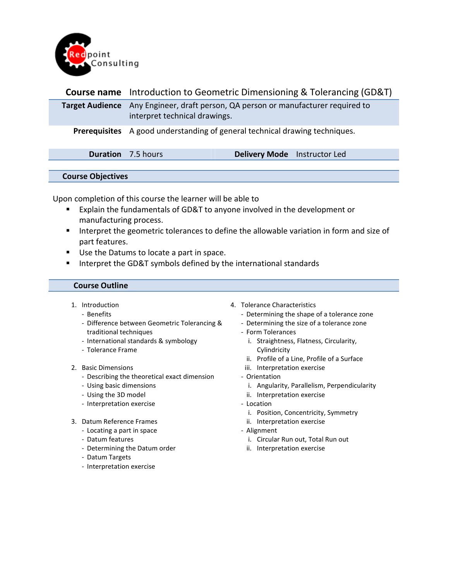

| <b>Course name</b> Introduction to Geometric Dimensioning & Tolerancing (GD&T)                                     |                              |  |  |
|--------------------------------------------------------------------------------------------------------------------|------------------------------|--|--|
| Target Audience Any Engineer, draft person, QA person or manufacturer required to<br>interpret technical drawings. |                              |  |  |
| <b>Prerequisites</b> A good understanding of general technical drawing techniques.                                 |                              |  |  |
| <b>Duration</b> 7.5 hours                                                                                          | Delivery Mode Instructor Led |  |  |
|                                                                                                                    |                              |  |  |

## Course Objectives

Upon completion of this course the learner will be able to

- **Explain the fundamentals of GD&T to anyone involved in the development or** manufacturing process.
- **Interpret the geometric tolerances to define the allowable variation in form and size of** part features.
- Use the Datums to locate a part in space.
- Interpret the GD&T symbols defined by the international standards

## Course Outline

- 1. Introduction
	- Benefits
	- Difference between Geometric Tolerancing & traditional techniques
	- International standards & symbology
	- Tolerance Frame
- 2. Basic Dimensions
	- Describing the theoretical exact dimension
	- Using basic dimensions
	- Using the 3D model
	- Interpretation exercise
- 3. Datum Reference Frames
	- Locating a part in space
	- Datum features
	- Determining the Datum order
	- Datum Targets
	- Interpretation exercise
- 4. Tolerance Characteristics
	- Determining the shape of a tolerance zone
	- Determining the size of a tolerance zone
	- Form Tolerances
		- i. Straightness, Flatness, Circularity, Cylindricity
		- ii. Profile of a Line, Profile of a Surface
	- iii. Interpretation exercise
	- Orientation
		- i. Angularity, Parallelism, Perpendicularity
		- ii. Interpretation exercise
	- Location
		- i. Position, Concentricity, Symmetry
		- ii. Interpretation exercise
	- Alignment
		- i. Circular Run out, Total Run out
		- ii. Interpretation exercise